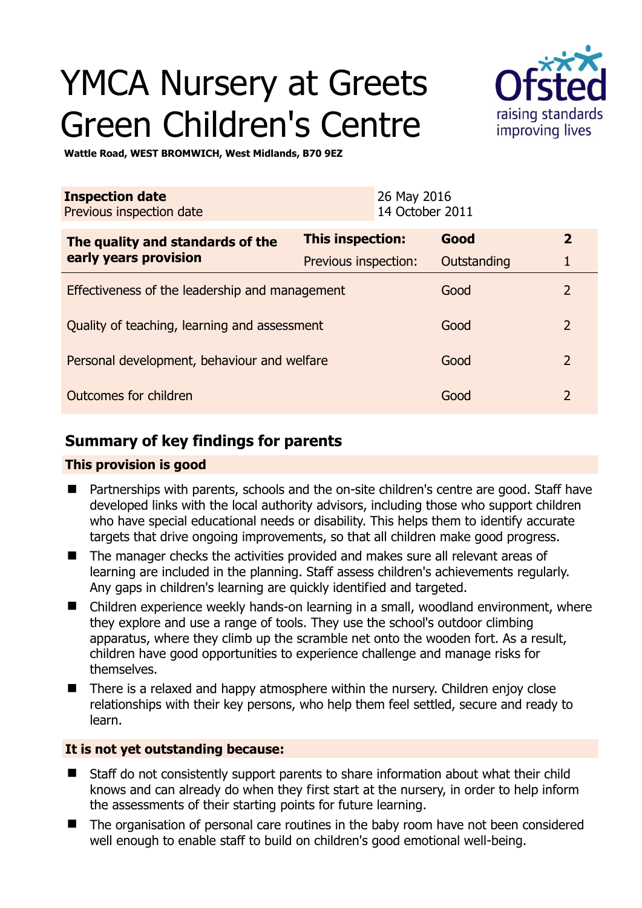# YMCA Nursery at Greets Green Children's Centre



**Wattle Road, WEST BROMWICH, West Midlands, B70 9EZ** 

| <b>Inspection date</b><br>Previous inspection date        |                         | 26 May 2016<br>14 October 2011 |             |                |
|-----------------------------------------------------------|-------------------------|--------------------------------|-------------|----------------|
| The quality and standards of the<br>early years provision | <b>This inspection:</b> |                                | Good        | $\overline{2}$ |
|                                                           | Previous inspection:    |                                | Outstanding | 1              |
| Effectiveness of the leadership and management            |                         |                                | Good        | 2              |
| Quality of teaching, learning and assessment              |                         |                                | Good        | $\overline{2}$ |
| Personal development, behaviour and welfare               |                         |                                | Good        | $\overline{2}$ |
| Outcomes for children                                     |                         |                                | Good        | $\overline{2}$ |

# **Summary of key findings for parents**

## **This provision is good**

- Partnerships with parents, schools and the on-site children's centre are good. Staff have developed links with the local authority advisors, including those who support children who have special educational needs or disability. This helps them to identify accurate targets that drive ongoing improvements, so that all children make good progress.
- The manager checks the activities provided and makes sure all relevant areas of learning are included in the planning. Staff assess children's achievements regularly. Any gaps in children's learning are quickly identified and targeted.
- Children experience weekly hands-on learning in a small, woodland environment, where they explore and use a range of tools. They use the school's outdoor climbing apparatus, where they climb up the scramble net onto the wooden fort. As a result, children have good opportunities to experience challenge and manage risks for themselves.
- There is a relaxed and happy atmosphere within the nursery. Children enjoy close relationships with their key persons, who help them feel settled, secure and ready to learn.

# **It is not yet outstanding because:**

- Staff do not consistently support parents to share information about what their child knows and can already do when they first start at the nursery, in order to help inform the assessments of their starting points for future learning.
- The organisation of personal care routines in the baby room have not been considered well enough to enable staff to build on children's good emotional well-being.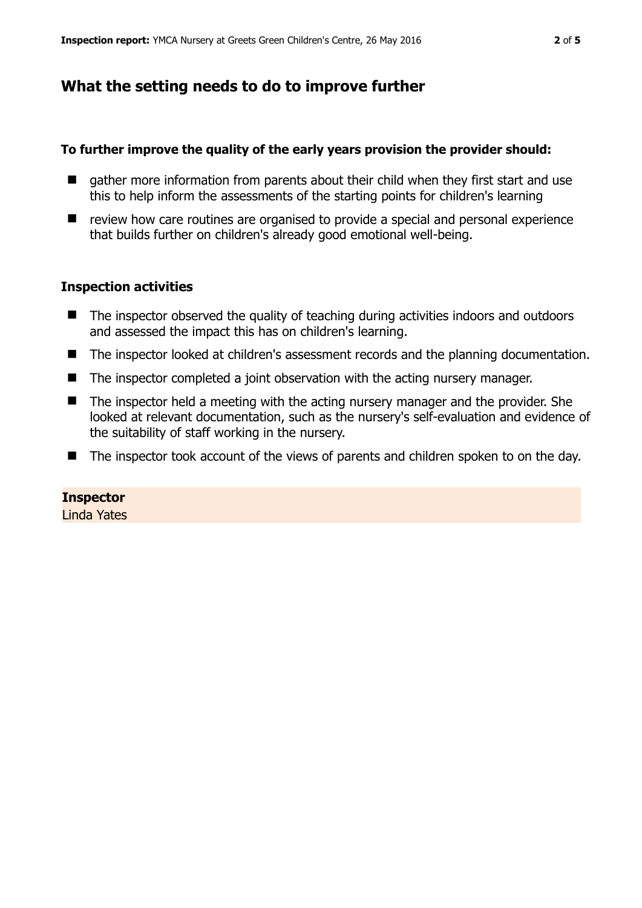# **What the setting needs to do to improve further**

#### **To further improve the quality of the early years provision the provider should:**

- gather more information from parents about their child when they first start and use this to help inform the assessments of the starting points for children's learning
- review how care routines are organised to provide a special and personal experience that builds further on children's already good emotional well-being.

#### **Inspection activities**

- The inspector observed the quality of teaching during activities indoors and outdoors and assessed the impact this has on children's learning.
- The inspector looked at children's assessment records and the planning documentation.
- The inspector completed a joint observation with the acting nursery manager.
- The inspector held a meeting with the acting nursery manager and the provider. She looked at relevant documentation, such as the nursery's self-evaluation and evidence of the suitability of staff working in the nursery.
- The inspector took account of the views of parents and children spoken to on the day.

#### **Inspector**

Linda Yates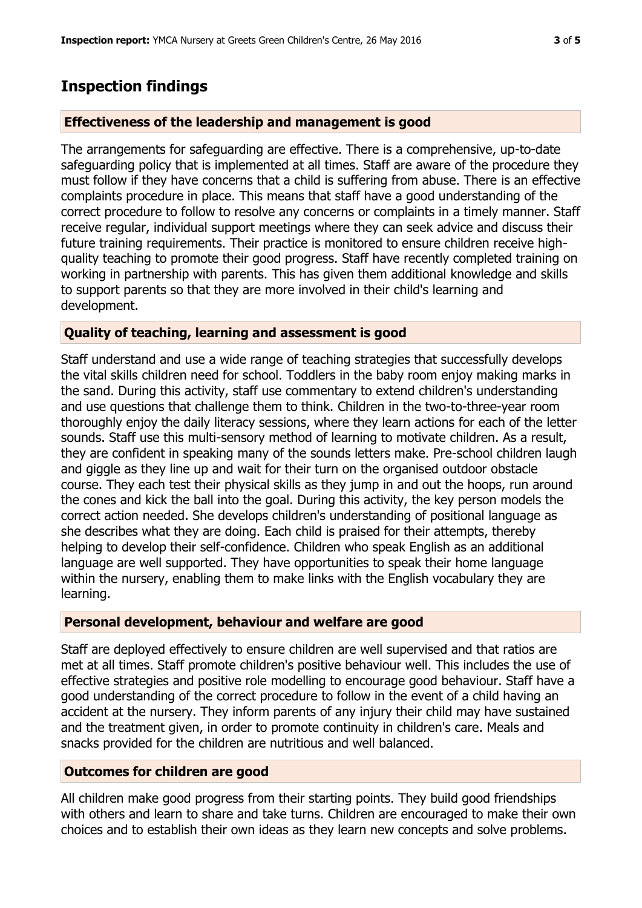# **Inspection findings**

## **Effectiveness of the leadership and management is good**

The arrangements for safeguarding are effective. There is a comprehensive, up-to-date safeguarding policy that is implemented at all times. Staff are aware of the procedure they must follow if they have concerns that a child is suffering from abuse. There is an effective complaints procedure in place. This means that staff have a good understanding of the correct procedure to follow to resolve any concerns or complaints in a timely manner. Staff receive regular, individual support meetings where they can seek advice and discuss their future training requirements. Their practice is monitored to ensure children receive highquality teaching to promote their good progress. Staff have recently completed training on working in partnership with parents. This has given them additional knowledge and skills to support parents so that they are more involved in their child's learning and development.

## **Quality of teaching, learning and assessment is good**

Staff understand and use a wide range of teaching strategies that successfully develops the vital skills children need for school. Toddlers in the baby room enjoy making marks in the sand. During this activity, staff use commentary to extend children's understanding and use questions that challenge them to think. Children in the two-to-three-year room thoroughly enjoy the daily literacy sessions, where they learn actions for each of the letter sounds. Staff use this multi-sensory method of learning to motivate children. As a result, they are confident in speaking many of the sounds letters make. Pre-school children laugh and giggle as they line up and wait for their turn on the organised outdoor obstacle course. They each test their physical skills as they jump in and out the hoops, run around the cones and kick the ball into the goal. During this activity, the key person models the correct action needed. She develops children's understanding of positional language as she describes what they are doing. Each child is praised for their attempts, thereby helping to develop their self-confidence. Children who speak English as an additional language are well supported. They have opportunities to speak their home language within the nursery, enabling them to make links with the English vocabulary they are learning.

## **Personal development, behaviour and welfare are good**

Staff are deployed effectively to ensure children are well supervised and that ratios are met at all times. Staff promote children's positive behaviour well. This includes the use of effective strategies and positive role modelling to encourage good behaviour. Staff have a good understanding of the correct procedure to follow in the event of a child having an accident at the nursery. They inform parents of any injury their child may have sustained and the treatment given, in order to promote continuity in children's care. Meals and snacks provided for the children are nutritious and well balanced.

## **Outcomes for children are good**

All children make good progress from their starting points. They build good friendships with others and learn to share and take turns. Children are encouraged to make their own choices and to establish their own ideas as they learn new concepts and solve problems.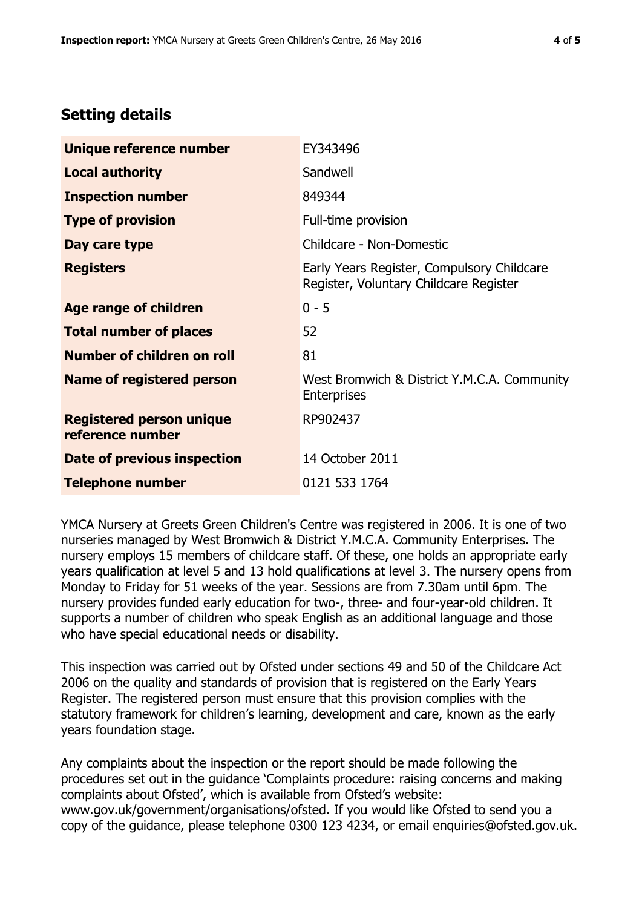# **Setting details**

| Unique reference number                             | EY343496                                                                             |  |
|-----------------------------------------------------|--------------------------------------------------------------------------------------|--|
| <b>Local authority</b>                              | Sandwell                                                                             |  |
| <b>Inspection number</b>                            | 849344                                                                               |  |
| <b>Type of provision</b>                            | Full-time provision                                                                  |  |
| Day care type                                       | Childcare - Non-Domestic                                                             |  |
| <b>Registers</b>                                    | Early Years Register, Compulsory Childcare<br>Register, Voluntary Childcare Register |  |
| <b>Age range of children</b>                        | $0 - 5$                                                                              |  |
| <b>Total number of places</b>                       | 52                                                                                   |  |
| Number of children on roll                          | 81                                                                                   |  |
| Name of registered person                           | West Bromwich & District Y.M.C.A. Community<br><b>Enterprises</b>                    |  |
| <b>Registered person unique</b><br>reference number | RP902437                                                                             |  |
| Date of previous inspection                         | 14 October 2011                                                                      |  |
| <b>Telephone number</b>                             | 0121 533 1764                                                                        |  |

YMCA Nursery at Greets Green Children's Centre was registered in 2006. It is one of two nurseries managed by West Bromwich & District Y.M.C.A. Community Enterprises. The nursery employs 15 members of childcare staff. Of these, one holds an appropriate early years qualification at level 5 and 13 hold qualifications at level 3. The nursery opens from Monday to Friday for 51 weeks of the year. Sessions are from 7.30am until 6pm. The nursery provides funded early education for two-, three- and four-year-old children. It supports a number of children who speak English as an additional language and those who have special educational needs or disability.

This inspection was carried out by Ofsted under sections 49 and 50 of the Childcare Act 2006 on the quality and standards of provision that is registered on the Early Years Register. The registered person must ensure that this provision complies with the statutory framework for children's learning, development and care, known as the early years foundation stage.

Any complaints about the inspection or the report should be made following the procedures set out in the guidance 'Complaints procedure: raising concerns and making complaints about Ofsted', which is available from Ofsted's website: www.gov.uk/government/organisations/ofsted. If you would like Ofsted to send you a copy of the guidance, please telephone 0300 123 4234, or email enquiries@ofsted.gov.uk.